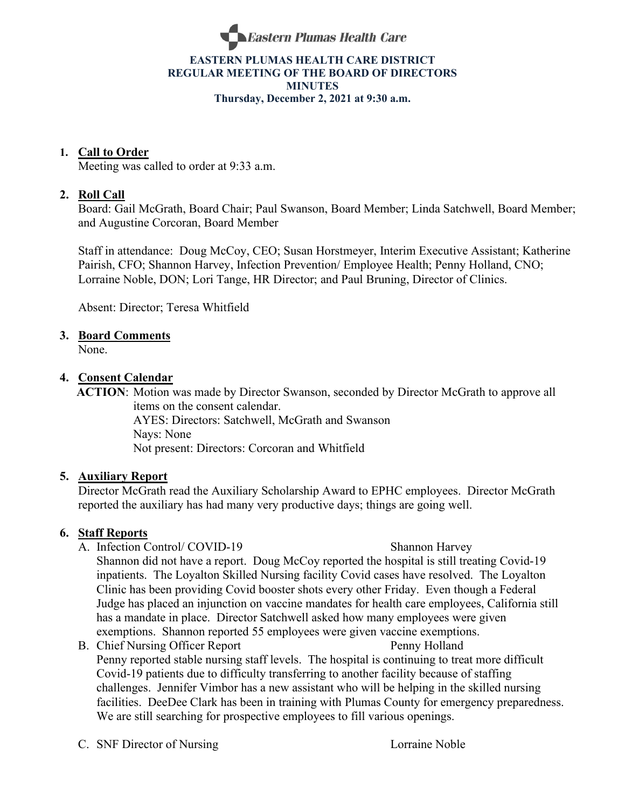

#### **EASTERN PLUMAS HEALTH CARE DISTRICT REGULAR MEETING OF THE BOARD OF DIRECTORS MINUTES Thursday, December 2, 2021 at 9:30 a.m.**

## **1. Call to Order**

Meeting was called to order at 9:33 a.m.

## **2. Roll Call**

Board: Gail McGrath, Board Chair; Paul Swanson, Board Member; Linda Satchwell, Board Member; and Augustine Corcoran, Board Member

Staff in attendance: Doug McCoy, CEO; Susan Horstmeyer, Interim Executive Assistant; Katherine Pairish, CFO; Shannon Harvey, Infection Prevention/ Employee Health; Penny Holland, CNO; Lorraine Noble, DON; Lori Tange, HR Director; and Paul Bruning, Director of Clinics.

Absent: Director; Teresa Whitfield

## **3. Board Comments**

None.

## **4. Consent Calendar**

 **ACTION**: Motion was made by Director Swanson, seconded by Director McGrath to approve all items on the consent calendar.

AYES: Directors: Satchwell, McGrath and Swanson Nays: None Not present: Directors: Corcoran and Whitfield

## **5. Auxiliary Report**

Director McGrath read the Auxiliary Scholarship Award to EPHC employees. Director McGrath reported the auxiliary has had many very productive days; things are going well.

## **6. Staff Reports**

- A. Infection Control/ COVID-19 Shannon Harvey Shannon did not have a report. Doug McCoy reported the hospital is still treating Covid-19 inpatients. The Loyalton Skilled Nursing facility Covid cases have resolved. The Loyalton Clinic has been providing Covid booster shots every other Friday. Even though a Federal Judge has placed an injunction on vaccine mandates for health care employees, California still has a mandate in place. Director Satchwell asked how many employees were given exemptions. Shannon reported 55 employees were given vaccine exemptions.
- B. Chief Nursing Officer Report Penny Holland Penny reported stable nursing staff levels. The hospital is continuing to treat more difficult Covid-19 patients due to difficulty transferring to another facility because of staffing challenges. Jennifer Vimbor has a new assistant who will be helping in the skilled nursing facilities. DeeDee Clark has been in training with Plumas County for emergency preparedness. We are still searching for prospective employees to fill various openings.

C. SNF Director of Nursing Lorraine Noble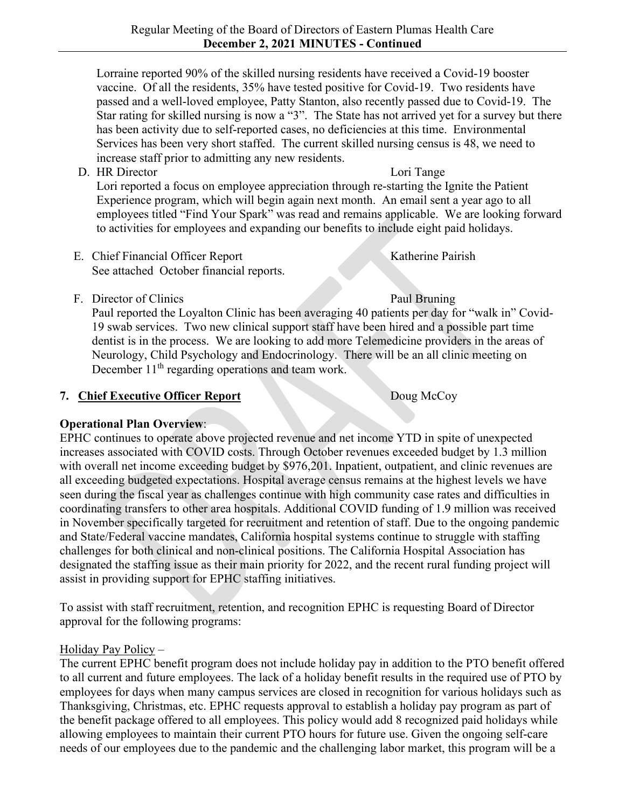Lorraine reported 90% of the skilled nursing residents have received a Covid-19 booster vaccine. Of all the residents, 35% have tested positive for Covid-19. Two residents have passed and a well-loved employee, Patty Stanton, also recently passed due to Covid-19. The Star rating for skilled nursing is now a "3". The State has not arrived yet for a survey but there has been activity due to self-reported cases, no deficiencies at this time. Environmental Services has been very short staffed. The current skilled nursing census is 48, we need to increase staff prior to admitting any new residents.

D. HR Director Lori Tange

Lori reported a focus on employee appreciation through re-starting the Ignite the Patient Experience program, which will begin again next month. An email sent a year ago to all employees titled "Find Your Spark" was read and remains applicable. We are looking forward to activities for employees and expanding our benefits to include eight paid holidays.

- E. Chief Financial Officer Report Katherine Pairish See attached October financial reports.
- F. Director of Clinics Paul Bruning

Paul reported the Loyalton Clinic has been averaging 40 patients per day for "walk in" Covid-19 swab services. Two new clinical support staff have been hired and a possible part time dentist is in the process. We are looking to add more Telemedicine providers in the areas of Neurology, Child Psychology and Endocrinology. There will be an all clinic meeting on December 11<sup>th</sup> regarding operations and team work.

# **7. Chief Executive Officer Report** Doug McCoy

# **Operational Plan Overview**:

EPHC continues to operate above projected revenue and net income YTD in spite of unexpected increases associated with COVID costs. Through October revenues exceeded budget by 1.3 million with overall net income exceeding budget by \$976,201. Inpatient, outpatient, and clinic revenues are all exceeding budgeted expectations. Hospital average census remains at the highest levels we have seen during the fiscal year as challenges continue with high community case rates and difficulties in coordinating transfers to other area hospitals. Additional COVID funding of 1.9 million was received in November specifically targeted for recruitment and retention of staff. Due to the ongoing pandemic and State/Federal vaccine mandates, California hospital systems continue to struggle with staffing challenges for both clinical and non-clinical positions. The California Hospital Association has designated the staffing issue as their main priority for 2022, and the recent rural funding project will assist in providing support for EPHC staffing initiatives.

To assist with staff recruitment, retention, and recognition EPHC is requesting Board of Director approval for the following programs:

# Holiday Pay Policy –

The current EPHC benefit program does not include holiday pay in addition to the PTO benefit offered to all current and future employees. The lack of a holiday benefit results in the required use of PTO by employees for days when many campus services are closed in recognition for various holidays such as Thanksgiving, Christmas, etc. EPHC requests approval to establish a holiday pay program as part of the benefit package offered to all employees. This policy would add 8 recognized paid holidays while allowing employees to maintain their current PTO hours for future use. Given the ongoing self-care needs of our employees due to the pandemic and the challenging labor market, this program will be a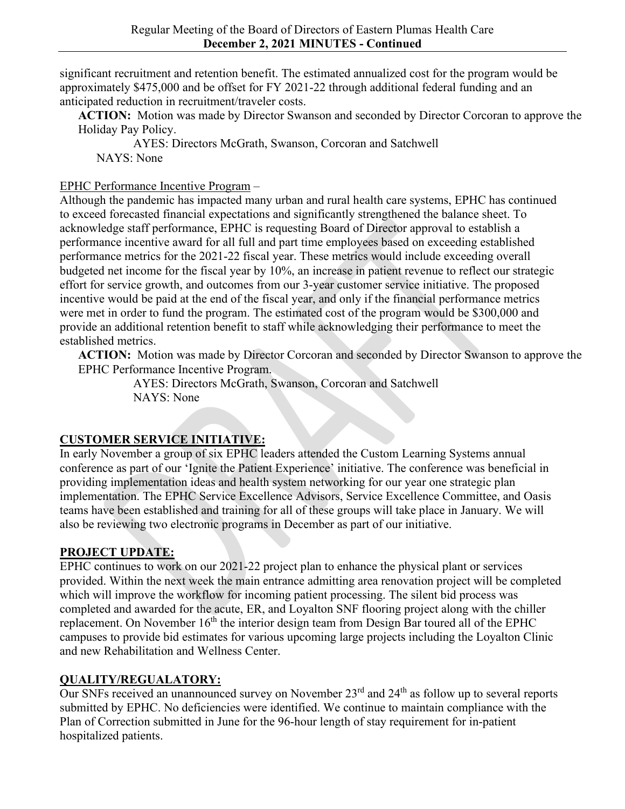significant recruitment and retention benefit. The estimated annualized cost for the program would be approximately \$475,000 and be offset for FY 2021-22 through additional federal funding and an anticipated reduction in recruitment/traveler costs.

**ACTION:** Motion was made by Director Swanson and seconded by Director Corcoran to approve the Holiday Pay Policy.

AYES: Directors McGrath, Swanson, Corcoran and Satchwell NAYS: None

## EPHC Performance Incentive Program –

Although the pandemic has impacted many urban and rural health care systems, EPHC has continued to exceed forecasted financial expectations and significantly strengthened the balance sheet. To acknowledge staff performance, EPHC is requesting Board of Director approval to establish a performance incentive award for all full and part time employees based on exceeding established performance metrics for the 2021-22 fiscal year. These metrics would include exceeding overall budgeted net income for the fiscal year by 10%, an increase in patient revenue to reflect our strategic effort for service growth, and outcomes from our 3-year customer service initiative. The proposed incentive would be paid at the end of the fiscal year, and only if the financial performance metrics were met in order to fund the program. The estimated cost of the program would be \$300,000 and provide an additional retention benefit to staff while acknowledging their performance to meet the established metrics.

**ACTION:** Motion was made by Director Corcoran and seconded by Director Swanson to approve the EPHC Performance Incentive Program.

AYES: Directors McGrath, Swanson, Corcoran and Satchwell NAYS: None

# **CUSTOMER SERVICE INITIATIVE:**

In early November a group of six EPHC leaders attended the Custom Learning Systems annual conference as part of our 'Ignite the Patient Experience' initiative. The conference was beneficial in providing implementation ideas and health system networking for our year one strategic plan implementation. The EPHC Service Excellence Advisors, Service Excellence Committee, and Oasis teams have been established and training for all of these groups will take place in January. We will also be reviewing two electronic programs in December as part of our initiative.

# **PROJECT UPDATE:**

EPHC continues to work on our 2021-22 project plan to enhance the physical plant or services provided. Within the next week the main entrance admitting area renovation project will be completed which will improve the workflow for incoming patient processing. The silent bid process was completed and awarded for the acute, ER, and Loyalton SNF flooring project along with the chiller replacement. On November 16<sup>th</sup> the interior design team from Design Bar toured all of the EPHC campuses to provide bid estimates for various upcoming large projects including the Loyalton Clinic and new Rehabilitation and Wellness Center.

# **QUALITY/REGUALATORY:**

Our SNFs received an unannounced survey on November 23<sup>rd</sup> and 24<sup>th</sup> as follow up to several reports submitted by EPHC. No deficiencies were identified. We continue to maintain compliance with the Plan of Correction submitted in June for the 96-hour length of stay requirement for in-patient hospitalized patients.